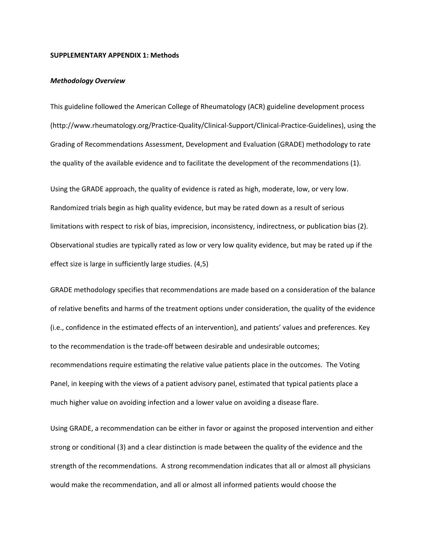#### **SUPPLEMENTARY APPENDIX 1: Methods**

### *Methodology Overview*

This guideline followed the American College of Rheumatology (ACR) guideline development process (http://www.rheumatology.org/Practice-Quality/Clinical-Support/Clinical-Practice-Guidelines), using the Grading of Recommendations Assessment, Development and Evaluation (GRADE) methodology to rate the quality of the available evidence and to facilitate the development of the recommendations (1).

Using the GRADE approach, the quality of evidence is rated as high, moderate, low, or very low. Randomized trials begin as high quality evidence, but may be rated down as a result of serious limitations with respect to risk of bias, imprecision, inconsistency, indirectness, or publication bias (2). Observational studies are typically rated as low or very low quality evidence, but may be rated up if the effect size is large in sufficiently large studies. (4,5)

GRADE methodology specifies that recommendations are made based on a consideration of the balance of relative benefits and harms of the treatment options under consideration, the quality of the evidence (i.e., confidence in the estimated effects of an intervention), and patients' values and preferences. Key to the recommendation is the trade-off between desirable and undesirable outcomes; recommendations require estimating the relative value patients place in the outcomes. The Voting Panel, in keeping with the views of a patient advisory panel, estimated that typical patients place a much higher value on avoiding infection and a lower value on avoiding a disease flare.

Using GRADE, a recommendation can be either in favor or against the proposed intervention and either strong or conditional (3) and a clear distinction is made between the quality of the evidence and the strength of the recommendations. A strong recommendation indicates that all or almost all physicians would make the recommendation, and all or almost all informed patients would choose the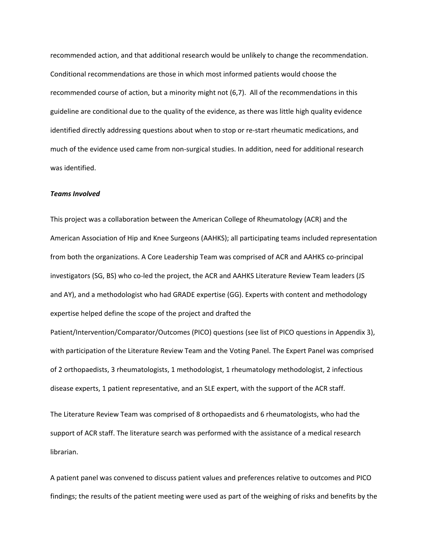recommended action, and that additional research would be unlikely to change the recommendation. Conditional recommendations are those in which most informed patients would choose the recommended course of action, but a minority might not (6,7). All of the recommendations in this guideline are conditional due to the quality of the evidence, as there was little high quality evidence identified directly addressing questions about when to stop or re-start rheumatic medications, and much of the evidence used came from non-surgical studies. In addition, need for additional research was identified.

### *Teams Involved*

This project was a collaboration between the American College of Rheumatology (ACR) and the American Association of Hip and Knee Surgeons (AAHKS); all participating teams included representation from both the organizations. A Core Leadership Team was comprised of ACR and AAHKS co-principal investigators (SG, BS) who co-led the project, the ACR and AAHKS Literature Review Team leaders (JS and AY), and a methodologist who had GRADE expertise (GG). Experts with content and methodology expertise helped define the scope of the project and drafted the

Patient/Intervention/Comparator/Outcomes (PICO) questions (see list of PICO questions in Appendix 3), with participation of the Literature Review Team and the Voting Panel. The Expert Panel was comprised of 2 orthopaedists, 3 rheumatologists, 1 methodologist, 1 rheumatology methodologist, 2 infectious disease experts, 1 patient representative, and an SLE expert, with the support of the ACR staff.

The Literature Review Team was comprised of 8 orthopaedists and 6 rheumatologists, who had the support of ACR staff. The literature search was performed with the assistance of a medical research librarian.

A patient panel was convened to discuss patient values and preferences relative to outcomes and PICO findings; the results of the patient meeting were used as part of the weighing of risks and benefits by the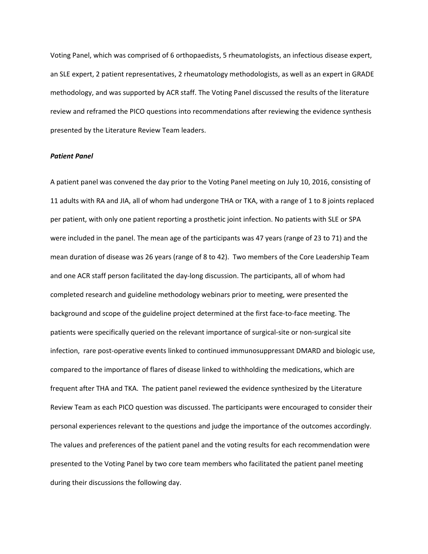Voting Panel, which was comprised of 6 orthopaedists, 5 rheumatologists, an infectious disease expert, an SLE expert, 2 patient representatives, 2 rheumatology methodologists, as well as an expert in GRADE methodology, and was supported by ACR staff. The Voting Panel discussed the results of the literature review and reframed the PICO questions into recommendations after reviewing the evidence synthesis presented by the Literature Review Team leaders.

### *Patient Panel*

A patient panel was convened the day prior to the Voting Panel meeting on July 10, 2016, consisting of 11 adults with RA and JIA, all of whom had undergone THA or TKA, with a range of 1 to 8 joints replaced per patient, with only one patient reporting a prosthetic joint infection. No patients with SLE or SPA were included in the panel. The mean age of the participants was 47 years (range of 23 to 71) and the mean duration of disease was 26 years (range of 8 to 42). Two members of the Core Leadership Team and one ACR staff person facilitated the day-long discussion. The participants, all of whom had completed research and guideline methodology webinars prior to meeting, were presented the background and scope of the guideline project determined at the first face-to-face meeting. The patients were specifically queried on the relevant importance of surgical-site or non-surgical site infection, rare post-operative events linked to continued immunosuppressant DMARD and biologic use, compared to the importance of flares of disease linked to withholding the medications, which are frequent after THA and TKA. The patient panel reviewed the evidence synthesized by the Literature Review Team as each PICO question was discussed. The participants were encouraged to consider their personal experiences relevant to the questions and judge the importance of the outcomes accordingly. The values and preferences of the patient panel and the voting results for each recommendation were presented to the Voting Panel by two core team members who facilitated the patient panel meeting during their discussions the following day.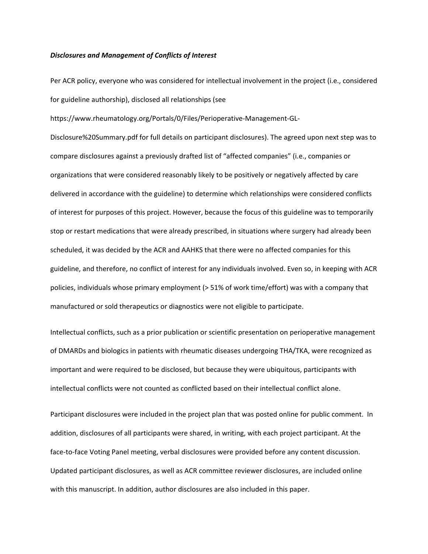#### *Disclosures and Management of Conflicts of Interest*

Per ACR policy, everyone who was considered for intellectual involvement in the project (i.e., considered for guideline authorship), disclosed all relationships (see

https://www.rheumatology.org/Portals/0/Files/Perioperative-Management-GL-

Disclosure%20Summary.pdf for full details on participant disclosures). The agreed upon next step was to compare disclosures against a previously drafted list of "affected companies" (i.e., companies or organizations that were considered reasonably likely to be positively or negatively affected by care delivered in accordance with the guideline) to determine which relationships were considered conflicts of interest for purposes of this project. However, because the focus of this guideline was to temporarily stop or restart medications that were already prescribed, in situations where surgery had already been scheduled, it was decided by the ACR and AAHKS that there were no affected companies for this guideline, and therefore, no conflict of interest for any individuals involved. Even so, in keeping with ACR policies, individuals whose primary employment (> 51% of work time/effort) was with a company that manufactured or sold therapeutics or diagnostics were not eligible to participate.

Intellectual conflicts, such as a prior publication or scientific presentation on perioperative management of DMARDs and biologics in patients with rheumatic diseases undergoing THA/TKA, were recognized as important and were required to be disclosed, but because they were ubiquitous, participants with intellectual conflicts were not counted as conflicted based on their intellectual conflict alone.

Participant disclosures were included in the project plan that was posted online for public comment. In addition, disclosures of all participants were shared, in writing, with each project participant. At the face-to-face Voting Panel meeting, verbal disclosures were provided before any content discussion. Updated participant disclosures, as well as ACR committee reviewer disclosures, are included online with this manuscript. In addition, author disclosures are also included in this paper.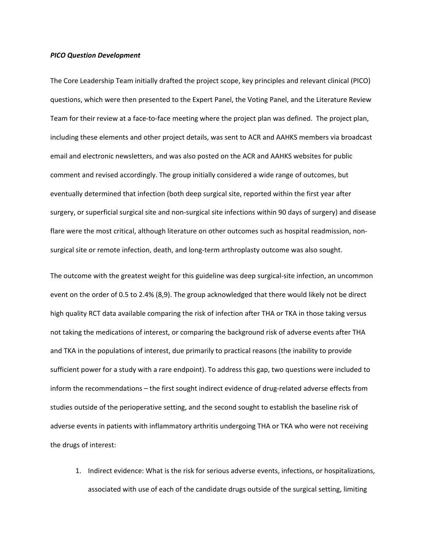#### *PICO Question Development*

The Core Leadership Team initially drafted the project scope, key principles and relevant clinical (PICO) questions, which were then presented to the Expert Panel, the Voting Panel, and the Literature Review Team for their review at a face-to-face meeting where the project plan was defined. The project plan, including these elements and other project details, was sent to ACR and AAHKS members via broadcast email and electronic newsletters, and was also posted on the ACR and AAHKS websites for public comment and revised accordingly. The group initially considered a wide range of outcomes, but eventually determined that infection (both deep surgical site, reported within the first year after surgery, or superficial surgical site and non-surgical site infections within 90 days of surgery) and disease flare were the most critical, although literature on other outcomes such as hospital readmission, nonsurgical site or remote infection, death, and long-term arthroplasty outcome was also sought.

The outcome with the greatest weight for this guideline was deep surgical-site infection, an uncommon event on the order of 0.5 to 2.4% (8,9). The group acknowledged that there would likely not be direct high quality RCT data available comparing the risk of infection after THA or TKA in those taking versus not taking the medications of interest, or comparing the background risk of adverse events after THA and TKA in the populations of interest, due primarily to practical reasons (the inability to provide sufficient power for a study with a rare endpoint). To address this gap, two questions were included to inform the recommendations – the first sought indirect evidence of drug-related adverse effects from studies outside of the perioperative setting, and the second sought to establish the baseline risk of adverse events in patients with inflammatory arthritis undergoing THA or TKA who were not receiving the drugs of interest:

1. Indirect evidence: What is the risk for serious adverse events, infections, or hospitalizations, associated with use of each of the candidate drugs outside of the surgical setting, limiting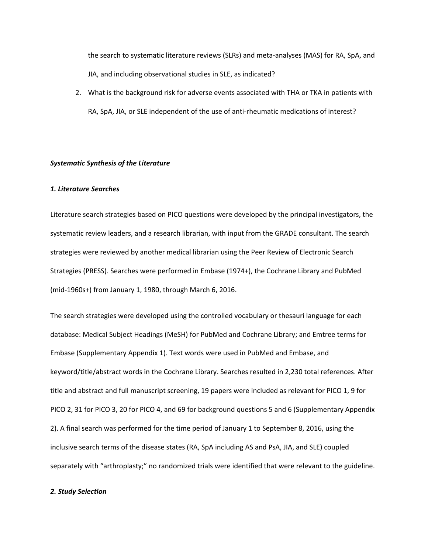the search to systematic literature reviews (SLRs) and meta-analyses (MAS) for RA, SpA, and JIA, and including observational studies in SLE, as indicated?

2. What is the background risk for adverse events associated with THA or TKA in patients with RA, SpA, JIA, or SLE independent of the use of anti-rheumatic medications of interest?

# *Systematic Synthesis of the Literature*

## *1. Literature Searches*

Literature search strategies based on PICO questions were developed by the principal investigators, the systematic review leaders, and a research librarian, with input from the GRADE consultant. The search strategies were reviewed by another medical librarian using the Peer Review of Electronic Search Strategies (PRESS). Searches were performed in Embase (1974+), the Cochrane Library and PubMed (mid-1960s+) from January 1, 1980, through March 6, 2016.

The search strategies were developed using the controlled vocabulary or thesauri language for each database: Medical Subject Headings (MeSH) for PubMed and Cochrane Library; and Emtree terms for Embase (Supplementary Appendix 1). Text words were used in PubMed and Embase, and keyword/title/abstract words in the Cochrane Library. Searches resulted in 2,230 total references. After title and abstract and full manuscript screening, 19 papers were included as relevant for PICO 1, 9 for PICO 2, 31 for PICO 3, 20 for PICO 4, and 69 for background questions 5 and 6 (Supplementary Appendix 2). A final search was performed for the time period of January 1 to September 8, 2016, using the inclusive search terms of the disease states (RA, SpA including AS and PsA, JIA, and SLE) coupled separately with "arthroplasty;" no randomized trials were identified that were relevant to the guideline.

# *2. Study Selection*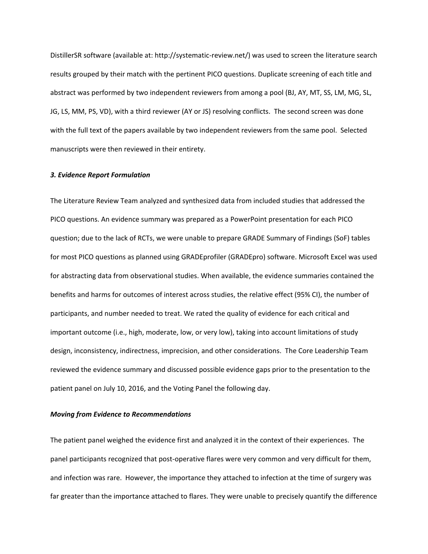DistillerSR software (available at: http://systematic-review.net/) was used to screen the literature search results grouped by their match with the pertinent PICO questions. Duplicate screening of each title and abstract was performed by two independent reviewers from among a pool (BJ, AY, MT, SS, LM, MG, SL, JG, LS, MM, PS, VD), with a third reviewer (AY or JS) resolving conflicts. The second screen was done with the full text of the papers available by two independent reviewers from the same pool. Selected manuscripts were then reviewed in their entirety.

#### *3. Evidence Report Formulation*

The Literature Review Team analyzed and synthesized data from included studies that addressed the PICO questions. An evidence summary was prepared as a PowerPoint presentation for each PICO question; due to the lack of RCTs, we were unable to prepare GRADE Summary of Findings (SoF) tables for most PICO questions as planned using GRADEprofiler (GRADEpro) software. Microsoft Excel was used for abstracting data from observational studies. When available, the evidence summaries contained the benefits and harms for outcomes of interest across studies, the relative effect (95% CI), the number of participants, and number needed to treat. We rated the quality of evidence for each critical and important outcome (i.e., high, moderate, low, or very low), taking into account limitations of study design, inconsistency, indirectness, imprecision, and other considerations. The Core Leadership Team reviewed the evidence summary and discussed possible evidence gaps prior to the presentation to the patient panel on July 10, 2016, and the Voting Panel the following day.

# *Moving from Evidence to Recommendations*

The patient panel weighed the evidence first and analyzed it in the context of their experiences. The panel participants recognized that post-operative flares were very common and very difficult for them, and infection was rare. However, the importance they attached to infection at the time of surgery was far greater than the importance attached to flares. They were unable to precisely quantify the difference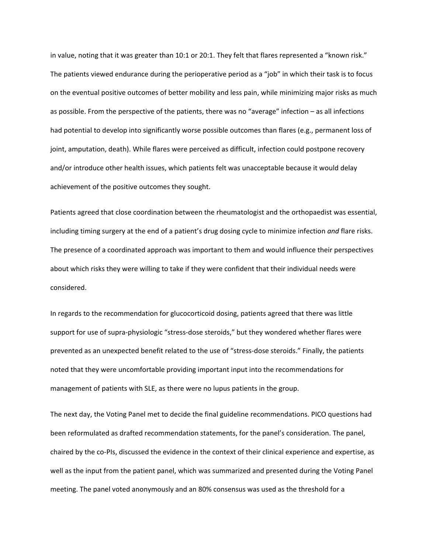in value, noting that it was greater than 10:1 or 20:1. They felt that flares represented a "known risk." The patients viewed endurance during the perioperative period as a "job" in which their task is to focus on the eventual positive outcomes of better mobility and less pain, while minimizing major risks as much as possible. From the perspective of the patients, there was no "average" infection – as all infections had potential to develop into significantly worse possible outcomes than flares (e.g., permanent loss of joint, amputation, death). While flares were perceived as difficult, infection could postpone recovery and/or introduce other health issues, which patients felt was unacceptable because it would delay achievement of the positive outcomes they sought.

Patients agreed that close coordination between the rheumatologist and the orthopaedist was essential, including timing surgery at the end of a patient's drug dosing cycle to minimize infection *and* flare risks. The presence of a coordinated approach was important to them and would influence their perspectives about which risks they were willing to take if they were confident that their individual needs were considered.

In regards to the recommendation for glucocorticoid dosing, patients agreed that there was little support for use of supra-physiologic "stress-dose steroids," but they wondered whether flares were prevented as an unexpected benefit related to the use of "stress-dose steroids." Finally, the patients noted that they were uncomfortable providing important input into the recommendations for management of patients with SLE, as there were no lupus patients in the group.

The next day, the Voting Panel met to decide the final guideline recommendations. PICO questions had been reformulated as drafted recommendation statements, for the panel's consideration. The panel, chaired by the co-PIs, discussed the evidence in the context of their clinical experience and expertise, as well as the input from the patient panel, which was summarized and presented during the Voting Panel meeting. The panel voted anonymously and an 80% consensus was used as the threshold for a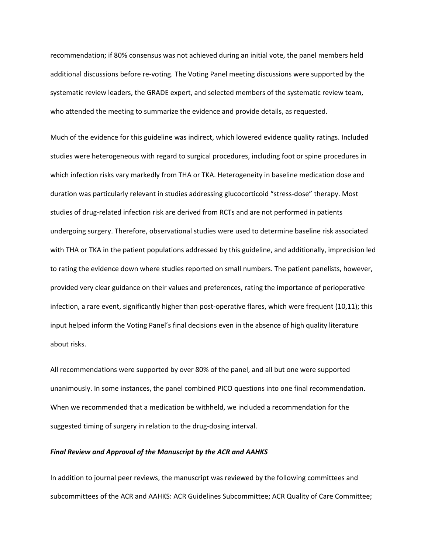recommendation; if 80% consensus was not achieved during an initial vote, the panel members held additional discussions before re-voting. The Voting Panel meeting discussions were supported by the systematic review leaders, the GRADE expert, and selected members of the systematic review team, who attended the meeting to summarize the evidence and provide details, as requested.

Much of the evidence for this guideline was indirect, which lowered evidence quality ratings. Included studies were heterogeneous with regard to surgical procedures, including foot or spine procedures in which infection risks vary markedly from THA or TKA. Heterogeneity in baseline medication dose and duration was particularly relevant in studies addressing glucocorticoid "stress-dose" therapy. Most studies of drug-related infection risk are derived from RCTs and are not performed in patients undergoing surgery. Therefore, observational studies were used to determine baseline risk associated with THA or TKA in the patient populations addressed by this guideline, and additionally, imprecision led to rating the evidence down where studies reported on small numbers. The patient panelists, however, provided very clear guidance on their values and preferences, rating the importance of perioperative infection, a rare event, significantly higher than post-operative flares, which were frequent (10,11); this input helped inform the Voting Panel's final decisions even in the absence of high quality literature about risks.

All recommendations were supported by over 80% of the panel, and all but one were supported unanimously. In some instances, the panel combined PICO questions into one final recommendation. When we recommended that a medication be withheld, we included a recommendation for the suggested timing of surgery in relation to the drug-dosing interval.

### *Final Review and Approval of the Manuscript by the ACR and AAHKS*

In addition to journal peer reviews, the manuscript was reviewed by the following committees and subcommittees of the ACR and AAHKS: ACR Guidelines Subcommittee; ACR Quality of Care Committee;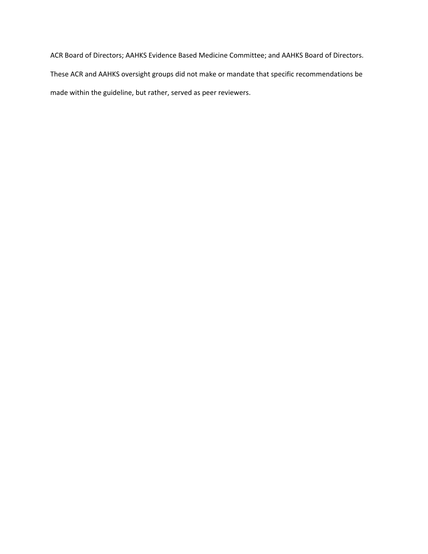ACR Board of Directors; AAHKS Evidence Based Medicine Committee; and AAHKS Board of Directors. These ACR and AAHKS oversight groups did not make or mandate that specific recommendations be made within the guideline, but rather, served as peer reviewers.